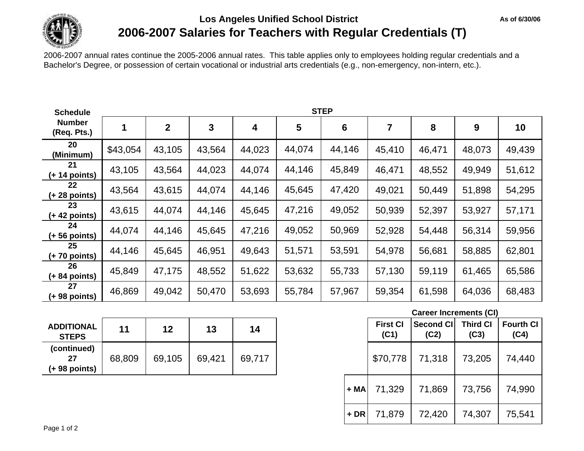

# **Los Angeles Unified School District 2006-2007 Salaries for Teachers with Regular Credentials (T)**

2006-2007 annual rates continue the 2005-2006 annual rates. This table applies only to employees holding regular credentials and a Bachelor's Degree, or possession of certain vocational or industrial arts credentials (e.g., non-emergency, non-intern, etc.).

| <b>Schedule</b>              | <b>STEP</b> |                |        |        |        |        |        |        |        |        |
|------------------------------|-------------|----------------|--------|--------|--------|--------|--------|--------|--------|--------|
| <b>Number</b><br>(Req. Pts.) | 1           | $\overline{2}$ | 3      | 4      | 5      | 6      |        | 8      | 9      | 10     |
| 20<br>(Minimum)              | \$43,054    | 43,105         | 43,564 | 44,023 | 44,074 | 44,146 | 45,410 | 46,471 | 48,073 | 49,439 |
| 21<br>$(+ 14$ points)        | 43,105      | 43,564         | 44,023 | 44,074 | 44,146 | 45,849 | 46,471 | 48,552 | 49,949 | 51,612 |
| 22<br>$(+ 28$ points)        | 43,564      | 43,615         | 44,074 | 44,146 | 45,645 | 47,420 | 49,021 | 50,449 | 51,898 | 54,295 |
| 23<br>$(+ 42$ points)        | 43,615      | 44,074         | 44,146 | 45,645 | 47,216 | 49,052 | 50,939 | 52,397 | 53,927 | 57,171 |
| 24<br>$(+ 56$ points)        | 44,074      | 44,146         | 45,645 | 47,216 | 49,052 | 50,969 | 52,928 | 54,448 | 56,314 | 59,956 |
| 25<br>$(+ 70$ points)        | 44,146      | 45,645         | 46,951 | 49,643 | 51,571 | 53,591 | 54,978 | 56,681 | 58,885 | 62,801 |
| 26<br>$(+ 84$ points)        | 45,849      | 47,175         | 48,552 | 51,622 | 53,632 | 55,733 | 57,130 | 59,119 | 61,465 | 65,586 |
| 27<br>(+ 98 points)          | 46,869      | 49,042         | 50,470 | 53,693 | 55,784 | 57,967 | 59,354 | 61,598 | 64,036 | 68,483 |

| <b>ADDITIONAL</b><br><b>STEPS</b>    | 11     | 12     | 13     | 14     |
|--------------------------------------|--------|--------|--------|--------|
| (continued)<br>27<br>$(+ 98$ points) | 68,809 | 69,105 | 69,421 | 69.717 |

| <b>Career Increments (CI)</b> |  |  |
|-------------------------------|--|--|
|-------------------------------|--|--|

**As of 6/30/06**

| 11     | 12     | 13     | 14     |        | <b>First CI</b><br>(C1) | Second CI<br>(C2) | <b>Third CI</b><br>(C3) | <b>Fourth CI</b><br>(C4) |
|--------|--------|--------|--------|--------|-------------------------|-------------------|-------------------------|--------------------------|
| 68,809 | 69,105 | 69,421 | 69,717 |        | \$70,778                | 71,318            | 73,205                  | 74,440                   |
|        |        |        |        | + MA   | 71,329                  | 71,869            | 73,756                  | 74,990                   |
|        |        |        |        | $+ DR$ | 71,879                  | 72,420            | 74,307                  | 75,541                   |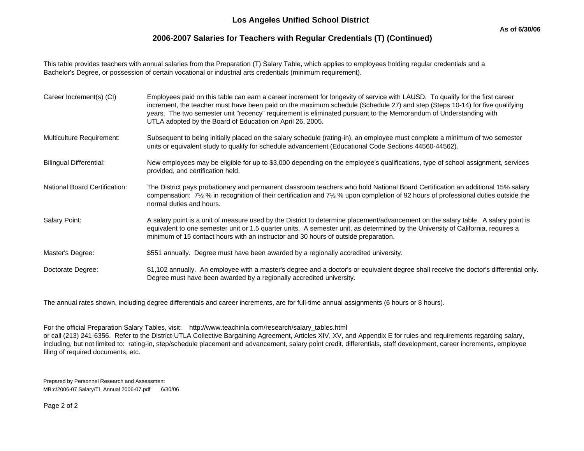## **2006-2007 Salaries for Teachers with Regular Credentials (T) (Continued)**

This table provides teachers with annual salaries from the Preparation (T) Salary Table, which applies to employees holding regular credentials and a Bachelor's Degree, or possession of certain vocational or industrial arts credentials (minimum requirement).

| Career Increment(s) (CI)             | Employees paid on this table can earn a career increment for longevity of service with LAUSD. To qualify for the first career<br>increment, the teacher must have been paid on the maximum schedule (Schedule 27) and step (Steps 10-14) for five qualifying<br>years. The two semester unit "recency" requirement is eliminated pursuant to the Memorandum of Understanding with<br>UTLA adopted by the Board of Education on April 26, 2005. |
|--------------------------------------|------------------------------------------------------------------------------------------------------------------------------------------------------------------------------------------------------------------------------------------------------------------------------------------------------------------------------------------------------------------------------------------------------------------------------------------------|
| Multiculture Requirement:            | Subsequent to being initially placed on the salary schedule (rating-in), an employee must complete a minimum of two semester<br>units or equivalent study to qualify for schedule advancement (Educational Code Sections 44560-44562).                                                                                                                                                                                                         |
| <b>Bilingual Differential:</b>       | New employees may be eligible for up to \$3,000 depending on the employee's qualifications, type of school assignment, services<br>provided, and certification held.                                                                                                                                                                                                                                                                           |
| <b>National Board Certification:</b> | The District pays probationary and permanent classroom teachers who hold National Board Certification an additional 15% salary<br>compensation: 7½ % in recognition of their certification and 7½ % upon completion of 92 hours of professional duties outside the<br>normal duties and hours.                                                                                                                                                 |
| Salary Point:                        | A salary point is a unit of measure used by the District to determine placement/advancement on the salary table. A salary point is<br>equivalent to one semester unit or 1.5 quarter units. A semester unit, as determined by the University of California, requires a<br>minimum of 15 contact hours with an instructor and 30 hours of outside preparation.                                                                                  |
| Master's Degree:                     | \$551 annually. Degree must have been awarded by a regionally accredited university.                                                                                                                                                                                                                                                                                                                                                           |
| Doctorate Degree:                    | \$1,102 annually. An employee with a master's degree and a doctor's or equivalent degree shall receive the doctor's differential only.<br>Degree must have been awarded by a regionally accredited university.                                                                                                                                                                                                                                 |

The annual rates shown, including degree differentials and career increments, are for full-time annual assignments (6 hours or 8 hours).

For the official Preparation Salary Tables, visit: http://www.teachinla.com/research/salary\_tables.html

or call (213) 241-6356. Refer to the District-UTLA Collective Bargaining Agreement, Articles XIV, XV, and Appendix E for rules and requirements regarding salary, including, but not limited to: rating-in, step/schedule placement and advancement, salary point credit, differentials, staff development, career increments, employee filing of required documents, etc.

Prepared by Personnel Research and Assessment MB:c/2006-07 Salary/TL Annual 2006-07.pdf 6/30/06

Page 2 of 2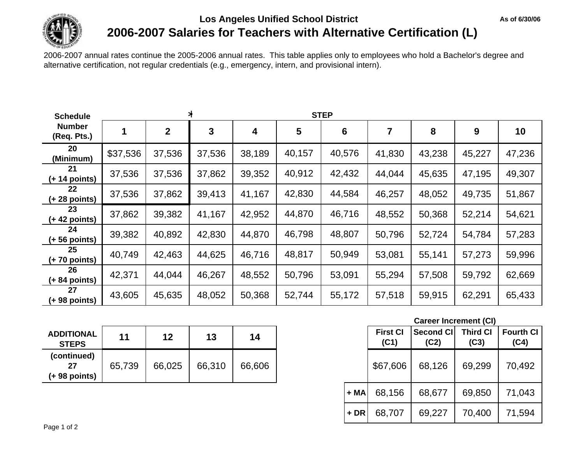

# **Los Angeles Unified School District 2006-2007 Salaries for Teachers with Alternative Certification (L)**

2006-2007 annual rates continue the 2005-2006 annual rates. This table applies only to employees who hold a Bachelor's degree and alternative certification, not regular credentials (e.g., emergency, intern, and provisional intern).

| <b>Schedule</b>              |          | $\ast$<br><b>STEP</b> |        |        |        |                 |        |        |        |        |  |
|------------------------------|----------|-----------------------|--------|--------|--------|-----------------|--------|--------|--------|--------|--|
| <b>Number</b><br>(Req. Pts.) |          | $\mathbf 2$           | 3      | 4      | 5      | $6\phantom{1}6$ | 7      | 8      | 9      | 10     |  |
| 20<br>(Minimum)              | \$37,536 | 37,536                | 37,536 | 38,189 | 40,157 | 40,576          | 41,830 | 43,238 | 45,227 | 47,236 |  |
| 21<br>$(+ 14$ points)        | 37,536   | 37,536                | 37,862 | 39,352 | 40,912 | 42,432          | 44,044 | 45,635 | 47,195 | 49,307 |  |
| 22<br>$(+ 28$ points)        | 37,536   | 37,862                | 39,413 | 41,167 | 42,830 | 44,584          | 46,257 | 48,052 | 49,735 | 51,867 |  |
| 23<br>$(+ 42$ points)        | 37,862   | 39,382                | 41,167 | 42,952 | 44,870 | 46,716          | 48,552 | 50,368 | 52,214 | 54,621 |  |
| 24<br>$(+ 56$ points)        | 39,382   | 40,892                | 42,830 | 44,870 | 46,798 | 48,807          | 50,796 | 52,724 | 54,784 | 57,283 |  |
| 25<br>$(+ 70$ points)        | 40,749   | 42,463                | 44,625 | 46,716 | 48,817 | 50,949          | 53,081 | 55,141 | 57,273 | 59,996 |  |
| 26<br>$(+ 84$ points)        | 42,371   | 44,044                | 46,267 | 48,552 | 50,796 | 53,091          | 55,294 | 57,508 | 59,792 | 62,669 |  |
| 27<br>(+ 98 points)          | 43,605   | 45,635                | 48,052 | 50,368 | 52,744 | 55,172          | 57,518 | 59,915 | 62,291 | 65,433 |  |

| <b>ADDITIONAL</b><br><b>STEPS</b>    | 11     | 12     | 13     | 14     |
|--------------------------------------|--------|--------|--------|--------|
| (continued)<br>27<br>$(+ 98$ points) | 65,739 | 66,025 | 66,310 | 66,606 |

|        |        |        |        |       |                         | <b>Career Increment (CI)</b> |                         |                          |
|--------|--------|--------|--------|-------|-------------------------|------------------------------|-------------------------|--------------------------|
| 11     | 12     | 13     | 14     |       | <b>First CI</b><br>(C1) | Second CI<br>(C2)            | <b>Third CI</b><br>(C3) | <b>Fourth CI</b><br>(C4) |
| 65,739 | 66,025 | 66,310 | 66,606 |       | \$67,606                | 68,126                       | 69,299                  | 70,492                   |
|        |        |        |        | + MA  | 68,156                  | 68,677                       | 69,850                  | 71,043                   |
|        |        |        |        | $+DR$ | 68,707                  | 69,227                       | 70,400                  | 71,594                   |

**As of 6/30/06**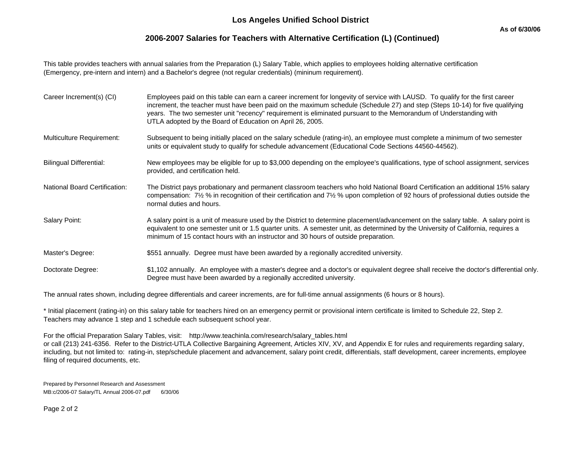## **2006-2007 Salaries for Teachers with Alternative Certification (L) (Continued)**

This table provides teachers with annual salaries from the Preparation (L) Salary Table, which applies to employees holding alternative certification (Emergency, pre-intern and intern) and a Bachelor's degree (not regular credentials) (mininum requirement).

| Career Increment(s) (CI)             | Employees paid on this table can earn a career increment for longevity of service with LAUSD. To qualify for the first career<br>increment, the teacher must have been paid on the maximum schedule (Schedule 27) and step (Steps 10-14) for five qualifying<br>years. The two semester unit "recency" requirement is eliminated pursuant to the Memorandum of Understanding with<br>UTLA adopted by the Board of Education on April 26, 2005. |
|--------------------------------------|------------------------------------------------------------------------------------------------------------------------------------------------------------------------------------------------------------------------------------------------------------------------------------------------------------------------------------------------------------------------------------------------------------------------------------------------|
| Multiculture Requirement:            | Subsequent to being initially placed on the salary schedule (rating-in), an employee must complete a minimum of two semester<br>units or equivalent study to qualify for schedule advancement (Educational Code Sections 44560-44562).                                                                                                                                                                                                         |
| <b>Bilingual Differential:</b>       | New employees may be eligible for up to \$3,000 depending on the employee's qualifications, type of school assignment, services<br>provided, and certification held.                                                                                                                                                                                                                                                                           |
| <b>National Board Certification:</b> | The District pays probationary and permanent classroom teachers who hold National Board Certification an additional 15% salary<br>compensation: 7½ % in recognition of their certification and 7½ % upon completion of 92 hours of professional duties outside the<br>normal duties and hours.                                                                                                                                                 |
| Salary Point:                        | A salary point is a unit of measure used by the District to determine placement/advancement on the salary table. A salary point is<br>equivalent to one semester unit or 1.5 quarter units. A semester unit, as determined by the University of California, requires a<br>minimum of 15 contact hours with an instructor and 30 hours of outside preparation.                                                                                  |
| Master's Degree:                     | \$551 annually. Degree must have been awarded by a regionally accredited university.                                                                                                                                                                                                                                                                                                                                                           |
| Doctorate Degree:                    | \$1,102 annually. An employee with a master's degree and a doctor's or equivalent degree shall receive the doctor's differential only.<br>Degree must have been awarded by a regionally accredited university.                                                                                                                                                                                                                                 |

The annual rates shown, including degree differentials and career increments, are for full-time annual assignments (6 hours or 8 hours).

\* Initial placement (rating-in) on this salary table for teachers hired on an emergency permit or provisional intern certificate is limited to Schedule 22, Step 2. Teachers may advance 1 step and 1 schedule each subsequent school year.

For the official Preparation Salary Tables, visit: http://www.teachinla.com/research/salary\_tables.html or call (213) 241-6356. Refer to the District-UTLA Collective Bargaining Agreement, Articles XIV, XV, and Appendix E for rules and requirements regarding salary, including, but not limited to: rating-in, step/schedule placement and advancement, salary point credit, differentials, staff development, career increments, employee filing of required documents, etc.

Prepared by Personnel Research and Assessment MB:c/2006-07 Salary/TL Annual 2006-07.pdf 6/30/06

Page 2 of 2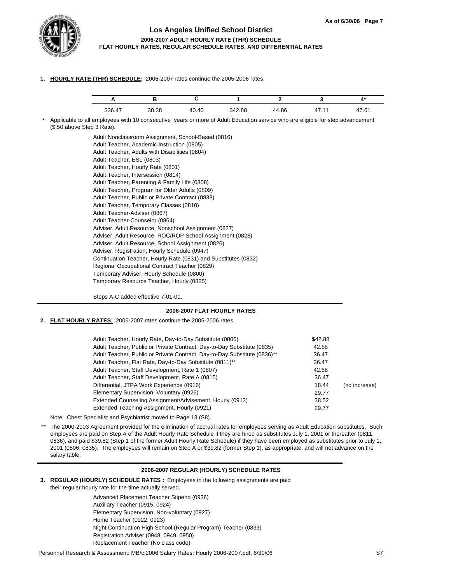

### **Los Angeles Unified School District 2006-2007 ADULT HOURLY RATE (THR) SCHEDULE FLAT HOURLY RATES, REGULAR SCHEDULE RATES, AND DIFFERENTIAL RATES**

**1. HOURLY RATE (THR) SCHEDULE:** 2006-2007 rates continue the 2005-2006 rates.

|      |       |                         |             |       |          | . .                    |
|------|-------|-------------------------|-------------|-------|----------|------------------------|
| \$36 | 38.38 | 0.40<br>$\Delta \Omega$ | 12.88<br>۳Д | 44.86 | . .<br>- | -<br>$\sim$<br>$\cdot$ |

\* Applicable to all employees with 10 consecutive years or more of Adult Education service who are eligible for step advancement (\$.50 above Step 3 Rate).

> Adult Nonclassroom Assignment, School-Based (0816) Adult Teacher, Academic Instruction (0805) Adult Teacher, Adults with Disabilities (0804) Adult Teacher, ESL (0803) Adult Teacher, Hourly Rate (0801) Adult Teacher, Intersession (0814) Adult Teacher, Parenting & Family Life (0808) Adult Teacher, Program for Older Adults (0809) Adult Teacher, Public or Private Contract (0838) Adult Teacher, Temporary Classes (0810) Adult Teacher-Adviser (0867) Adult Teacher-Counselor (0864) Adviser, Adult Resource, Nonschool Assignment (0827) Adviser, Adult Resource, ROC/ROP School Assignment (0828) Adviser, Adult Resource, School Assignment (0826) Adviser, Registration, Hourly Schedule (0947) Continuation Teacher, Hourly Rate (0831) and Substitutes (0832) Regional Occupational Contract Teacher (0829) Temporary Adviser, Hourly Schedule (0800) Temporary Resource Teacher, Hourly (0825)

Steps A-C added effective 7-01-01.

### **2006-2007 FLAT HOURLY RATES**

**2. FLAT HOURLY RATES:** 2006-2007 rates continue the 2005-2006 rates.

| Adult Teacher, Hourly Rate, Day-to-Day Substitute (0806)                  | \$42.88 |               |
|---------------------------------------------------------------------------|---------|---------------|
| Adult Teacher, Public or Private Contract, Day-to-Day Substitute (0835)   | 42.88   |               |
| Adult Teacher, Public or Private Contract, Day-to-Day Substitute (0836)** | 36.47   |               |
| Adult Teacher, Flat Rate, Day-to-Day Substitute (0811)**                  | 36.47   |               |
| Adult Teacher, Staff Development, Rate 1 (0807)                           | 42.88   |               |
| Adult Teacher, Staff Development, Rate A (0815)                           | 36.47   |               |
| Differential, JTPA Work Experience (0916)                                 | 18.44   | (no increase) |
| Elementary Supervision, Voluntary (0926)                                  | 29.77   |               |
| Extended Counseling Assignment/Advisement, Hourly (0913)                  | 38.52   |               |
| Extended Teaching Assignment, Hourly (0921)                               | 29.77   |               |
|                                                                           |         |               |

Note: Chest Specialist and Psychiatrist moved to Page 13 (S8).

\*\* The 2000-2003 Agreement provided for the elimination of accrual rates for employees serving as Adult Education substitutes. Such employees are paid on Step A of the Adult Hourly Rate Schedule if they are hired as substitutes July 1, 2001 or thereafter (0811, 0836), and paid \$39.82 (Step 1 of the former Adult Hourly Rate Schedule) if they have been employed as substitutes prior to July 1, 2001 (0806, 0835). The employees will remain on Step A or \$39.82 (former Step 1), as appropriate, and will not advance on the salary table.

### **2006-2007 REGULAR (HOURLY) SCHEDULE RATES**

**3. REGULAR (HOURLY) SCHEDULE RATES :** Employees in the following assignments are paid their regular hourly rate for the time actually served.

> Advanced Placement Teacher Stipend (0936) Auxiliary Teacher (0915, 0924) Elementary Supervision, Non-voluntary (0927) Home Teacher (0922, 0923) Night Continuation High School (Regular Program) Teacher (0833) Registration Adviser (0948, 0949, 0950) Replacement Teacher (No class code)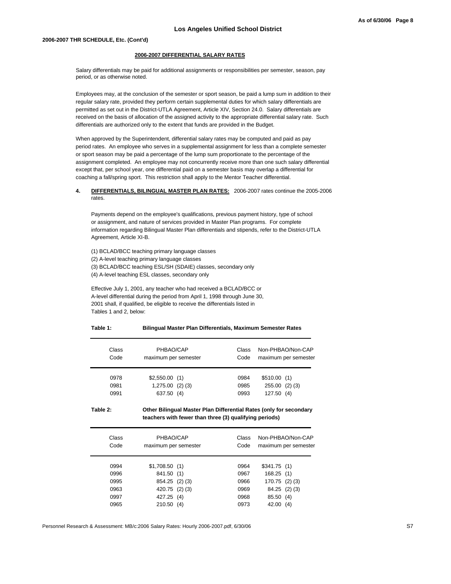#### **2006-2007 DIFFERENTIAL SALARY RATES**

Salary differentials may be paid for additional assignments or responsibilities per semester, season, pay period, or as otherwise noted.

Employees may, at the conclusion of the semester or sport season, be paid a lump sum in addition to their regular salary rate, provided they perform certain supplemental duties for which salary differentials are permitted as set out in the District-UTLA Agreement, Article XIV, Section 24.0. Salary differentials are received on the basis of allocation of the assigned activity to the appropriate differential salary rate. Such differentials are authorized only to the extent that funds are provided in the Budget.

When approved by the Superintendent, differential salary rates may be computed and paid as pay period rates. An employee who serves in a supplemental assignment for less than a complete semester or sport season may be paid a percentage of the lump sum proportionate to the percentage of the assignment completed. An employee may not concurrently receive more than one such salary differential except that, per school year, one differential paid on a semester basis may overlap a differential for coaching a fall/spring sport. This restriction shall apply to the Mentor Teacher differential.

#### **4. DIFFERENTIALS, BILINGUAL MASTER PLAN RATES:** 2006-2007 rates continue the 2005-2006 rates.

Payments depend on the employee's qualifications, previous payment history, type of school or assignment, and nature of services provided in Master Plan programs. For complete information regarding Bilingual Master Plan differentials and stipends, refer to the District-UTLA Agreement, Article XI-B.

(1) BCLAD/BCC teaching primary language classes

(2) A-level teaching primary language classes

(3) BCLAD/BCC teaching ESL/SH (SDAIE) classes, secondary only

(4) A-level teaching ESL classes, secondary only

Effective July 1, 2001, any teacher who had received a BCLAD/BCC or A-level differential during the period from April 1, 1998 through June 30, 2001 shall, if qualified, be eligible to receive the differentials listed in Tables 1 and 2, below:

#### **Table 1: Bilingual Master Plan Differentials, Maximum Semester Rates**

| Class                | PHBAO/CAP                                             | Class                | Non-PHBAO/Non-CAP                                     |
|----------------------|-------------------------------------------------------|----------------------|-------------------------------------------------------|
| Code                 | maximum per semester                                  | Code                 | maximum per semester                                  |
| 0978<br>0981<br>0991 | $$2,550.00$ (1)<br>$1,275.00$ (2)(3)<br>637.50<br>(4) | 0984<br>0985<br>0993 | \$510.00(1)<br>$(2)$ $(3)$<br>255.00<br>127.50<br>(4) |

**Table 2: Other Bilingual Master Plan Differential Rates (only for secondary teachers with fewer than three (3) qualifying periods)**

| Class<br>Code | PHBAO/CAP<br>maximum per semester | Class<br>Code | Non-PHBAO/Non-CAP<br>maximum per semester |
|---------------|-----------------------------------|---------------|-------------------------------------------|
| 0994          | $$1,708.50$ (1)                   | 0964          | \$341.75(1)                               |
| 0996          | 841.50 (1)                        | 0967          | 168.25(1)                                 |
| 0995          | 854.25 (2) (3)                    | 0966          | $170.75$ (2) (3)                          |
| 0963          | 420.75 (2) (3)                    | 0969          | 84.25 (2) (3)                             |
| 0997          | 427.25 (4)                        | 0968          | 85.50<br>(4)                              |
| 0965          | 210.50(4)                         | 0973          | 42.00<br>(4)                              |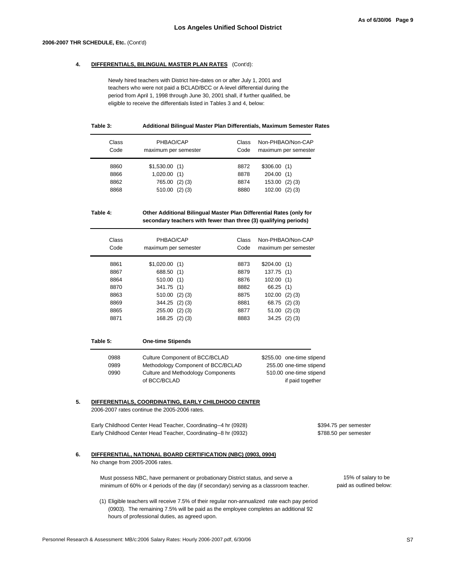#### **2006-2007 THR SCHEDULE, Etc.** (Cont'd)

#### **4. DIFFERENTIALS, BILINGUAL MASTER PLAN RATES** (Cont'd):

Newly hired teachers with District hire-dates on or after July 1, 2001 and teachers who were not paid a BCLAD/BCC or A-level differential during the period from April 1, 1998 through June 30, 2001 shall, if further qualified, be eligible to receive the differentials listed in Tables 3 and 4, below:

#### **Table 3: Additional Bilingual Master Plan Differentials, Maximum Semester Rates**

| Class<br>Code | PHBAO/CAP<br>maximum per semester | Class<br>Code | Non-PHBAO/Non-CAP<br>maximum per semester |
|---------------|-----------------------------------|---------------|-------------------------------------------|
| 8860          | $$1,530.00$ (1)                   | 8872          | \$306.00(1)                               |
| 8866          | 1,020.00(1)                       | 8878          | 204.00(1)                                 |
| 8862          | $(2)$ $(3)$<br>765.00             | 8874          | $(2)$ $(3)$<br>153.00                     |
| 8868          | $(2)$ $(3)$<br>510.00             | 8880          | $(2)$ $(3)$<br>102.00                     |

### **Table 4: Other Additional Bilingual Master Plan Differential Rates (only for secondary teachers with fewer than three (3) qualifying periods)**

| Class<br>Code | PHBAO/CAP<br>maximum per semester | Class<br>Code | Non-PHBAO/Non-CAP<br>maximum per semester |
|---------------|-----------------------------------|---------------|-------------------------------------------|
| 8861          | $$1,020.00$ (1)                   | 8873          | \$204.00(1)                               |
| 8867          | 688.50 (1)                        | 8879          | 137.75(1)                                 |
| 8864          | 510.00(1)                         | 8876          | 102.00(1)                                 |
| 8870          | 341.75 (1)                        | 8882          | 66.25(1)                                  |
| 8863          | $510.00$ (2)(3)                   | 8875          | $102.00$ (2) (3)                          |
| 8869          | $344.25$ (2) (3)                  | 8881          | 68.75 (2) (3)                             |
| 8865          | 255.00<br>$(2)$ $(3)$             | 8877          | 51.00<br>$(2)$ $(3)$                      |
| 8871          | $168.25$ (2) (3)                  | 8883          | $34.25$ (2) (3)                           |

| Table 5: | <b>One-time Stipends</b>           |                           |
|----------|------------------------------------|---------------------------|
| 0988     | Culture Component of BCC/BCLAD     | \$255.00 one-time stipend |
| 0989     | Methodology Component of BCC/BCLAD | 255.00 one-time stipend   |
| 0990     | Culture and Methodology Components | 510.00 one-time stipend   |
|          | of BCC/BCLAD                       | if paid together          |

# **5. DIFFERENTIALS, COORDINATING, EARLY CHILDHOOD CENTER**

2006-2007 rates continue the 2005-2006 rates.

Early Childhood Center Head Teacher, Coordinating--4 hr (0928) \$394.75 per semester Early Childhood Center Head Teacher, Coordinating--8 hr (0932) \$788.50 per semester

## **6. DIFFERENTIAL, NATIONAL BOARD CERTIFICATION (NBC) (0903, 0904)**

No change from 2005-2006 rates.

Must possess NBC, have permanent or probationary District status, and serve a minimum of 60% or 4 periods of the day (if secondary) serving as a classroom teacher. paid as outlined below:

(1) Eligible teachers will receive 7.5% of their regular non-annualized rate each pay period (0903). The remaining 7.5% will be paid as the employee completes an additional 92 hours of professional duties, as agreed upon.

15% of salary to be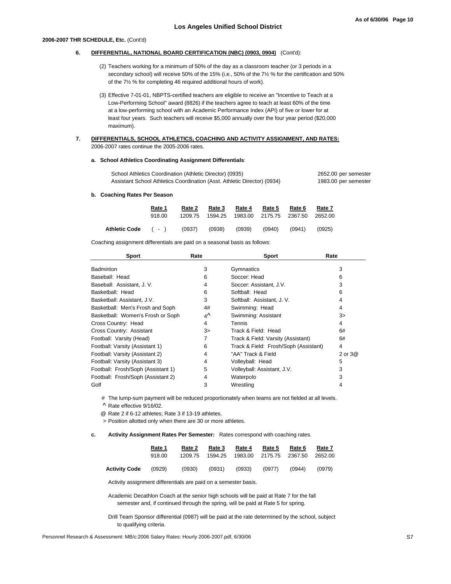#### **2006-2007 THR SCHEDULE, Etc.** (Cont'd)

#### **6. DIFFERENTIAL, NATIONAL BOARD CERTIFICATION (NBC) (0903, 0904)** (Cont'd):

- (2) Teachers working for a minimum of 50% of the day as a classroom teacher (or 3 periods in a secondary school) will receive 50% of the 15% (i.e., 50% of the 7½ % for the certification and 50% of the 7½ % for completing 46 required additional hours of work).
- (3) Effective 7-01-01, NBPTS-certified teachers are eligible to receive an "Incentive to Teach at a Low-Performing School" award (8826) if the teachers agree to teach at least 60% of the time at a low-performing school with an Academic Performance Index (API) of five or lower for at least four years. Such teachers will receive \$5,000 annually over the four year period (\$20,000 maximum).

#### **7.** 2006-2007 rates continue the 2005-2006 rates. **DIFFERENTIALS, SCHOOL ATHLETICS, COACHING AND ACTIVITY ASSIGNMENT, AND RATES:**

#### **a. School Athletics Coordinating Assignment Differentials**:

| School Athletics Coordination (Athletic Director) (0935)                 | 2652.00 per semester |
|--------------------------------------------------------------------------|----------------------|
| Assistant School Athletics Coordination (Asst. Athletic Director) (0934) | 1983.00 per semester |

#### **b. Coaching Rates Per Season**

|                     | Rate 1 | Rate 2  | Rate 3  | Rate 4 | Rate 5                  | Rate 6 | Rate 7  |  |
|---------------------|--------|---------|---------|--------|-------------------------|--------|---------|--|
|                     | 918.00 | 1209.75 | 1594.25 |        | 1983.00 2175.75 2367.50 |        | 2652.00 |  |
| Athletic Code ( - ) |        | (0937)  | (0938)  | (0939) | (0940)                  | (0941) | (0925)  |  |

Coaching assignment differentials are paid on a seasonal basis as follows:

| <b>Sport</b>                       | Rate    | <b>Sport</b>                          | Rate    |
|------------------------------------|---------|---------------------------------------|---------|
| Badminton                          | 3       | Gymnastics                            | 3       |
| Baseball: Head                     | 6       | Soccer: Head                          | 6       |
| Baseball: Assistant, J. V.         | 4       | Soccer: Assistant, J.V.               | 3       |
| Basketball: Head                   | 6       | Softball: Head                        | 6       |
| Basketball: Assistant, J.V.        | 3       | Softball: Assistant, J. V.            | 4       |
| Basketball: Men's Frosh and Soph   | 4#      | Swimming: Head                        | 4       |
| Basketball: Women's Frosh or Soph  | 4Л      | Swimming: Assistant                   | $3\geq$ |
| Cross Country: Head                | 4       | Tennis                                | 4       |
| Cross Country: Assistant           | $3\geq$ | Track & Field: Head                   | 6#      |
| Football: Varsity (Head)           | 7       | Track & Field: Varsity (Assistant)    | 6#      |
| Football: Varsity (Assistant 1)    | 6       | Track & Field: Frosh/Soph (Assistant) | 4       |
| Football: Varsity (Assistant 2)    | 4       | "AA" Track & Field                    | 2 or 3@ |
| Football: Varsity (Assistant 3)    | 4       | Volleyball: Head                      | 5       |
| Football: Frosh/Soph (Assistant 1) | 5       | Volleyball: Assistant, J.V.           | 3       |
| Football: Frosh/Soph (Assistant 2) | 4       | Waterpolo                             | 3       |
| Golf                               | 3       | Wrestling                             | 4       |

# The lump-sum payment will be reduced proportionately when teams are not fielded at all levels.

^ Rate effective 9/16/02.

@ Rate 2 if 6-12 athletes; Rate 3 if 13-19 athletes.

> Position allotted only when there are 30 or more athletes.

#### **c. Activity Assignment Rates Per Semester:** Rates correspond with coaching rates.

|                      | Rate 1 | Rate 2  | Rate 3  | Rate 4 | Rate 5                  | Rate 6 | Rate 7  |
|----------------------|--------|---------|---------|--------|-------------------------|--------|---------|
|                      | 918.00 | 1209.75 | 1594.25 |        | 1983.00 2175.75 2367.50 |        | 2652.00 |
| <b>Activity Code</b> | (0929) | (0930)  | (0931)  | (0933) | (0977)                  | (0944) | (0979)  |

Activity assignment differentials are paid on a semester basis.

Academic Decathlon Coach at the senior high schools will be paid at Rate 7 for the fall semester and, if continued through the spring, will be paid at Rate 5 for spring.

Drill Team Sponsor differential (0987) will be paid at the rate determined by the school, subject to qualifying criteria.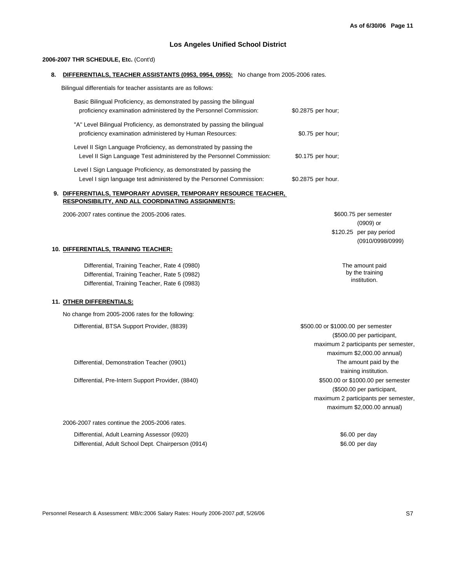### **Los Angeles Unified School District**

#### **2006-2007 THR SCHEDULE, Etc.** (Cont'd)

**8. DIFFERENTIALS, TEACHER ASSISTANTS (0953, 0954, 0955):** No change from 2005-2006 rates.

Bilingual differentials for teacher assistants are as follows:

| Basic Bilingual Proficiency, as demonstrated by passing the bilingual<br>proficiency examination administered by the Personnel Commission:  | \$0.2875 per hour; |
|---------------------------------------------------------------------------------------------------------------------------------------------|--------------------|
| "A" Level Bilingual Proficiency, as demonstrated by passing the bilingual<br>proficiency examination administered by Human Resources:       | \$0.75 per hour;   |
| Level II Sign Language Proficiency, as demonstrated by passing the<br>Level II Sign Language Test administered by the Personnel Commission: | \$0.175 per hour;  |
| Level I Sign Language Proficiency, as demonstrated by passing the<br>Level I sign language test administered by the Personnel Commission:   | \$0.2875 per hour. |

#### **9. DIFFERENTIALS, TEMPORARY ADVISER, TEMPORARY RESOURCE TEACHER, RESPONSIBILITY, AND ALL COORDINATING ASSIGNMENTS:**

2006-2007 rates continue the 2005-2006 rates.

\$600.75 per semester (0909) or \$120.25 per pay period (0910/0998/0999)

> The amount paid by the training institution.

#### **10. DIFFERENTIALS, TRAINING TEACHER:**

Differential, Training Teacher, Rate 4 (0980) Differential, Training Teacher, Rate 5 (0982) Differential, Training Teacher, Rate 6 (0983)

#### **11. OTHER DIFFERENTIALS:**

Differential, BTSA Support Provider, (8839) \$500.00 or \$1000.00 per semester No change from 2005-2006 rates for the following:

Differential, Demonstration Teacher (0901)

Differential, Pre-Intern Support Provider, (8840)

2006-2007 rates continue the 2005-2006 rates.

Differential, Adult Learning Assessor (0920) **\$6.00 per day** \$6.00 per day Differential, Adult School Dept. Chairperson (0914) 66.00 per day

maximum \$2,000.00 annual) maximum 2 participants per semester, \$500.00 or \$1000.00 per semester (\$500.00 per participant, The amount paid by the training institution. (\$500.00 per participant, maximum 2 participants per semester, maximum \$2,000.00 annual)

Personnel Research & Assessment: MB/c:2006 Salary Rates: Hourly 2006-2007.pdf, 5/26/06 S7